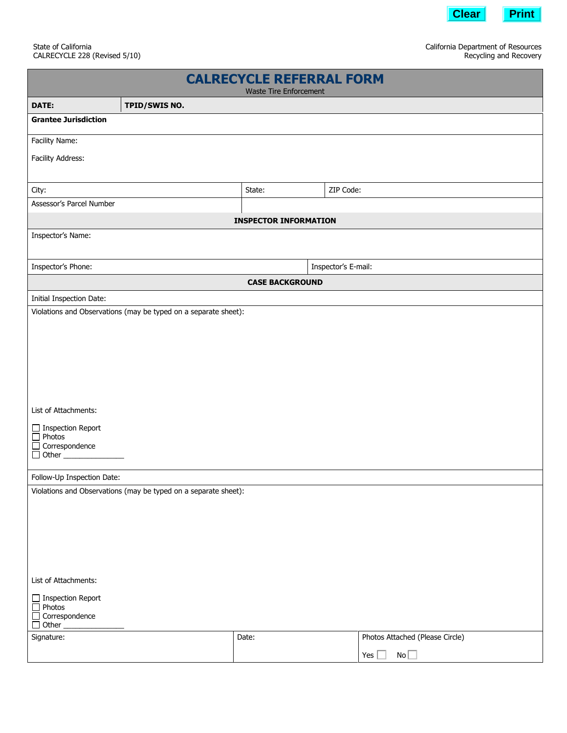

 California Department of Resources Recycling and Recovery

| <b>CALRECYCLE REFERRAL FORM</b><br><b>Waste Tire Enforcement</b> |               |                     |           |                                 |
|------------------------------------------------------------------|---------------|---------------------|-----------|---------------------------------|
| DATE:                                                            | TPID/SWIS NO. |                     |           |                                 |
| <b>Grantee Jurisdiction</b>                                      |               |                     |           |                                 |
| Facility Name:                                                   |               |                     |           |                                 |
| Facility Address:                                                |               |                     |           |                                 |
|                                                                  |               |                     |           |                                 |
| City:                                                            |               | State:              | ZIP Code: |                                 |
| Assessor's Parcel Number                                         |               |                     |           |                                 |
| <b>INSPECTOR INFORMATION</b>                                     |               |                     |           |                                 |
| Inspector's Name:                                                |               |                     |           |                                 |
| Inspector's Phone:                                               |               | Inspector's E-mail: |           |                                 |
| <b>CASE BACKGROUND</b>                                           |               |                     |           |                                 |
| Initial Inspection Date:                                         |               |                     |           |                                 |
| Violations and Observations (may be typed on a separate sheet):  |               |                     |           |                                 |
|                                                                  |               |                     |           |                                 |
|                                                                  |               |                     |           |                                 |
|                                                                  |               |                     |           |                                 |
|                                                                  |               |                     |           |                                 |
|                                                                  |               |                     |           |                                 |
| List of Attachments:                                             |               |                     |           |                                 |
| $\Box$ Inspection Report                                         |               |                     |           |                                 |
| $\Box$ Photos<br>$\Box$ Correspondence                           |               |                     |           |                                 |
|                                                                  |               |                     |           |                                 |
| Follow-Up Inspection Date:                                       |               |                     |           |                                 |
| Violations and Observations (may be typed on a separate sheet):  |               |                     |           |                                 |
|                                                                  |               |                     |           |                                 |
|                                                                  |               |                     |           |                                 |
|                                                                  |               |                     |           |                                 |
|                                                                  |               |                     |           |                                 |
|                                                                  |               |                     |           |                                 |
| List of Attachments:                                             |               |                     |           |                                 |
| $\Box$ Inspection Report<br>$\Box$ Photos                        |               |                     |           |                                 |
| $\Box$ Correspondence<br>$\Box$ Other                            |               |                     |           |                                 |
| Signature:                                                       |               | Date:               |           | Photos Attached (Please Circle) |
|                                                                  |               |                     |           | No<br>Yes $\Box$                |